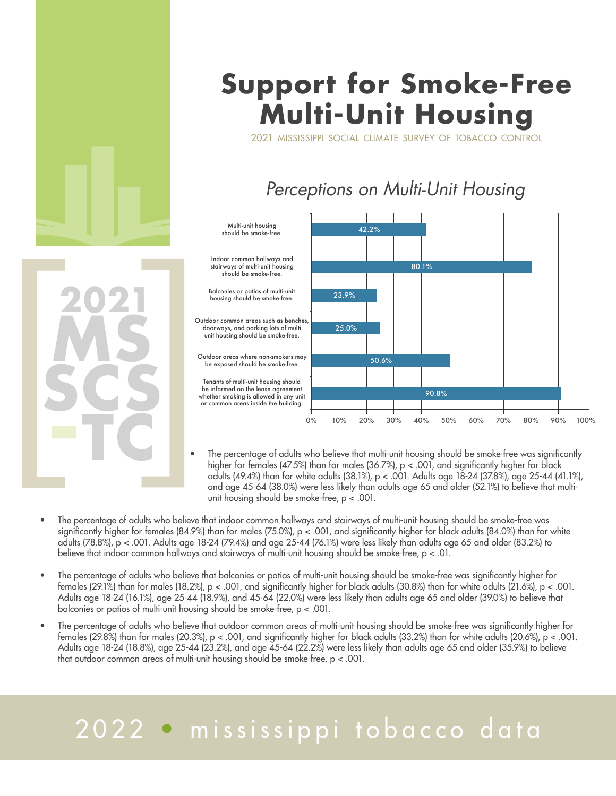

# **Support for Smoke-Free Multi-Unit Housing**

2021 mississippi social climate survey of tobacco control

### *Perceptions on Multi-Unit Housing*



- The percentage of adults who believe that multi-unit housing should be smoke-free was significantly higher for females (47.5%) than for males (36.7%),  $p < .001$ , and significantly higher for black adults (49.4%) than for white adults (38.1%), p < .001. Adults age 18-24 (37.8%), age 25-44 (41.1%), and age 45-64 (38.0%) were less likely than adults age 65 and older (52.1%) to believe that multiunit housing should be smoke-free, p < .001.
- The percentage of adults who believe that indoor common hallways and stairways of multi-unit housing should be smoke-free was significantly higher for females (84.9%) than for males (75.0%), p < .001, and significantly higher for black adults (84.0%) than for white adults (78.8%), p < .001. Adults age 18-24 (79.4%) and age 25-44 (76.1%) were less likely than adults age 65 and older (83.2%) to believe that indoor common hallways and stairways of multi-unit housing should be smoke-free, p < .01.
- The percentage of adults who believe that balconies or patios of multi-unit housing should be smoke-free was significantly higher for females (29.1%) than for males (18.2%),  $p < .001$ , and significantly higher for black adults (30.8%) than for white adults (21.6%),  $p < .001$ . Adults age 18-24 (16.1%), age 25-44 (18.9%), and 45-64 (22.0%) were less likely than adults age 65 and older (39.0%) to believe that balconies or patios of multi-unit housing should be smoke-free, p < .001.
- The percentage of adults who believe that outdoor common areas of multi-unit housing should be smoke-free was significantly higher for females (29.8%) than for males (20.3%),  $p < .001$ , and significantly higher for black adults (33.2%) than for white adults (20.6%),  $p < .001$ . Adults age 18-24 (18.8%), age 25-44 (23.2%), and age 45-64 (22.2%) were less likely than adults age 65 and older (35.9%) to believe that outdoor common areas of multi-unit housing should be smoke-free, p < .001.

# 2022 • mississippi tobacco data